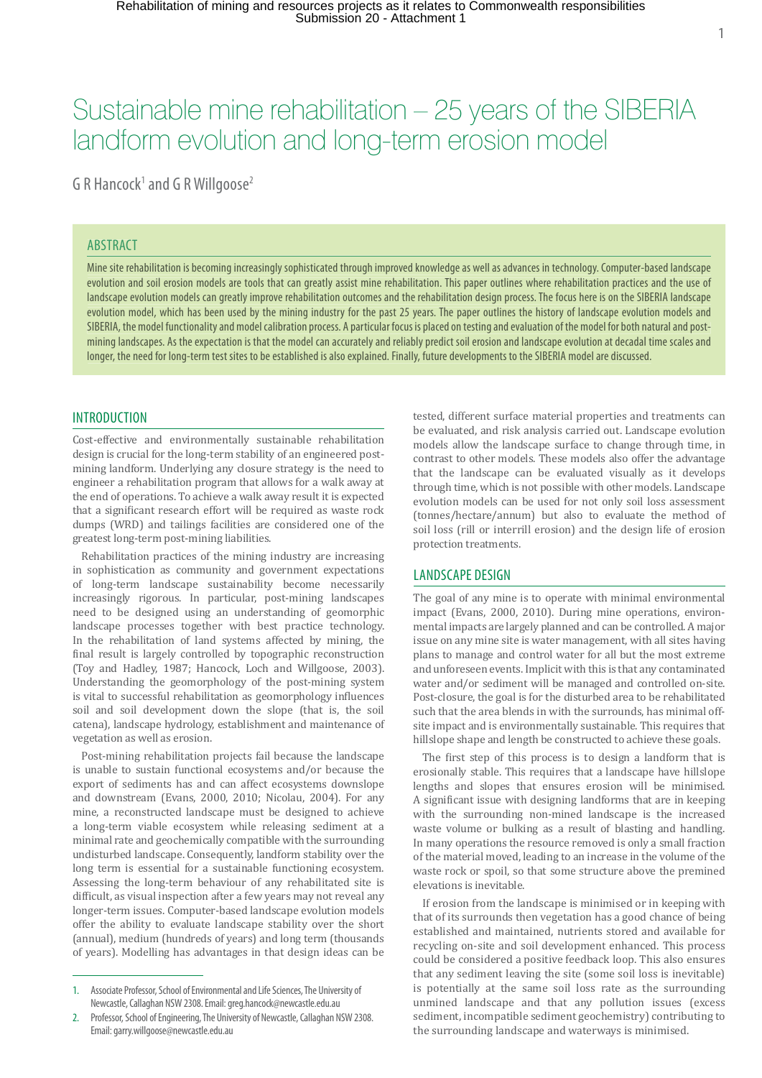# Sustainable mine rehabilitation – 25 years of the SIBERIA landform evolution and long-term erosion model

G R Hancock<sup>1</sup> and G R Willgoose<sup>2</sup>

# **ABSTRACT**

mine site rehabilitation is becoming increasingly sophisticated through improved knowledge as well as advances in technology. computer-based landscape evolution and soil erosion models are tools that can greatly assist mine rehabilitation. this paper outlines where rehabilitation practices and the use of landscape evolution models can greatly improve rehabilitation outcomes and the rehabilitation design process. The focus here is on the SIBERIA landscape evolution model, which has been used by the mining industry for the past 25 years. the paper outlines the history of landscape evolution models and SIBERIA, the model functionality and model calibration process. A particular focus is placed on testing and evaluation of the model for both natural and postmining landscapes. as the expectation is that the model can accurately and reliably predict soil erosion and landscape evolution at decadal time scales and longer, the need for long-term test sites to be established is also explained. Finally, future developments to the SIBERIA model are discussed.

## **INTRODUCTION**

Cost-effective and environmentally sustainable rehabilitation design is crucial for the long-term stability of an engineered postmining landform. Underlying any closure strategy is the need to engineer a rehabilitation program that allows for a walk away at the end of operations. To achieve a walk away result it is expected that a significant research effort will be required as waste rock dumps (WRD) and tailings facilities are considered one of the greatest long-term post-mining liabilities.

Rehabilitation practices of the mining industry are increasing in sophistication as community and government expectations of long-term landscape sustainability become necessarily increasingly rigorous. In particular, post-mining landscapes need to be designed using an understanding of geomorphic landscape processes together with best practice technology. In the rehabilitation of land systems affected by mining, the final result is largely controlled by topographic reconstruction (Toy and Hadley, 1987; Hancock, Loch and Willgoose, 2003). Understanding the geomorphology of the post-mining system is vital to successful rehabilitation as geomorphology influences soil and soil development down the slope (that is, the soil catena), landscape hydrology, establishment and maintenance of vegetation as well as erosion.

Post-mining rehabilitation projects fail because the landscape is unable to sustain functional ecosystems and/or because the export of sediments has and can affect ecosystems downslope and downstream (Evans, 2000, 2010; Nicolau, 2004). For any mine, a reconstructed landscape must be designed to achieve a long-term viable ecosystem while releasing sediment at a minimal rate and geochemically compatible with the surrounding undisturbed landscape. Consequently, landform stability over the long term is essential for a sustainable functioning ecosystem. Assessing the long-term behaviour of any rehabilitated site is difficult, as visual inspection after a few years may not reveal any longer-term issues. Computer-based landscape evolution models offer the ability to evaluate landscape stability over the short (annual), medium (hundreds of years) and long term (thousands of years). Modelling has advantages in that design ideas can be tested, different surface material properties and treatments can be evaluated, and risk analysis carried out. Landscape evolution models allow the landscape surface to change through time, in contrast to other models. These models also offer the advantage that the landscape can be evaluated visually as it develops through time, which is not possible with other models. Landscape evolution models can be used for not only soil loss assessment (tonnes/hectare/annum) but also to evaluate the method of soil loss (rill or interrill erosion) and the design life of erosion protection treatments.

## landScape deSign

The goal of any mine is to operate with minimal environmental impact (Evans, 2000, 2010). During mine operations, environmental impacts are largely planned and can be controlled. A major issue on any mine site is water management, with all sites having plans to manage and control water for all but the most extreme and unforeseen events. Implicit with this is that any contaminated water and/or sediment will be managed and controlled on-site. Post-closure, the goal is for the disturbed area to be rehabilitated such that the area blends in with the surrounds, has minimal offsite impact and is environmentally sustainable. This requires that hillslope shape and length be constructed to achieve these goals.

The first step of this process is to design a landform that is erosionally stable. This requires that a landscape have hillslope lengths and slopes that ensures erosion will be minimised. A significant issue with designing landforms that are in keeping with the surrounding non-mined landscape is the increased waste volume or bulking as a result of blasting and handling. In many operations the resource removed is only a small fraction of the material moved, leading to an increase in the volume of the waste rock or spoil, so that some structure above the premined elevations is inevitable.

If erosion from the landscape is minimised or in keeping with that of its surrounds then vegetation has a good chance of being established and maintained, nutrients stored and available for recycling on-site and soil development enhanced. This process could be considered a positive feedback loop. This also ensures that any sediment leaving the site (some soil loss is inevitable) is potentially at the same soil loss rate as the surrounding unmined landscape and that any pollution issues (excess sediment, incompatible sediment geochemistry) contributing to the surrounding landscape and waterways is minimised.

<sup>1.</sup> Associate Professor, School of Environmental and Life Sciences, The University of newcastle, callaghan nSW 2308. email: greg.hancock@newcastle.edu.au

<sup>2.</sup> Professor, School of Engineering, The University of Newcastle, Callaghan NSW 2308. email: garry.willgoose@newcastle.edu.au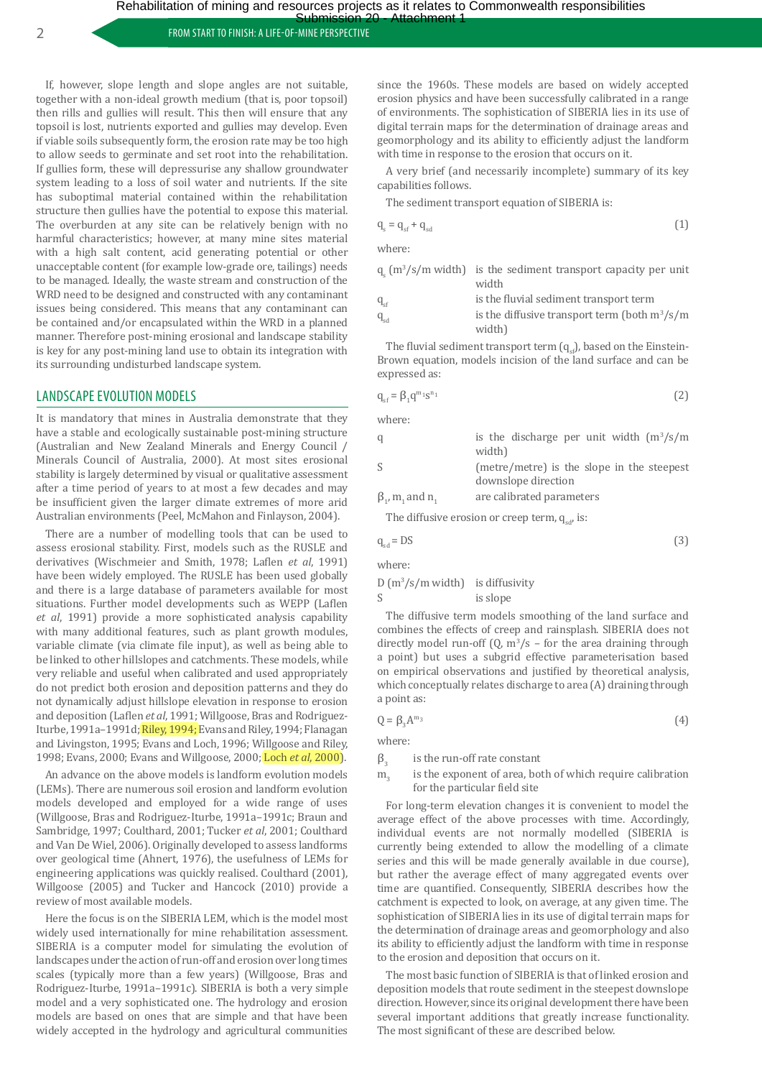2 **Sustainable mine reflective mine reflective mine reflective sustainable mine reflective**  $\overline{P}$ 

If, however, slope length and slope angles are not suitable, together with a non-ideal growth medium (that is, poor topsoil) then rills and gullies will result. This then will ensure that any topsoil is lost, nutrients exported and gullies may develop. Even if viable soils subsequently form, the erosion rate may be too high to allow seeds to germinate and set root into the rehabilitation. If gullies form, these will depressurise any shallow groundwater system leading to a loss of soil water and nutrients. If the site has suboptimal material contained within the rehabilitation structure then gullies have the potential to expose this material. The overburden at any site can be relatively benign with no harmful characteristics; however, at many mine sites material with a high salt content, acid generating potential or other unacceptable content (for example low-grade ore, tailings) needs to be managed. Ideally, the waste stream and construction of the WRD need to be designed and constructed with any contaminant issues being considered. This means that any contaminant can be contained and/or encapsulated within the WRD in a planned manner. Therefore post-mining erosional and landscape stability is key for any post-mining land use to obtain its integration with its surrounding undisturbed landscape system.

## LANDSCAPE EVOLUTION MODELS

It is mandatory that mines in Australia demonstrate that they have a stable and ecologically sustainable post-mining structure (Australian and New Zealand Minerals and Energy Council / Minerals Council of Australia, 2000). At most sites erosional stability is largely determined by visual or qualitative assessment after a time period of years to at most a few decades and may be insufficient given the larger climate extremes of more arid Australian environments (Peel, McMahon and Finlayson, 2004).

There are a number of modelling tools that can be used to assess erosional stability. First, models such as the RUSLE and derivatives (Wischmeier and Smith, 1978; Laflen *et al*, 1991) have been widely employed. The RUSLE has been used globally and there is a large database of parameters available for most situations. Further model developments such as WEPP (Laflen *et al*, 1991) provide a more sophisticated analysis capability with many additional features, such as plant growth modules, variable climate (via climate file input), as well as being able to be linked to other hillslopes and catchments. These models, while very reliable and useful when calibrated and used appropriately do not predict both erosion and deposition patterns and they do not dynamically adjust hillslope elevation in response to erosion and deposition (Laflen *et al*, 1991; Willgoose, Bras and Rodriguez-Iturbe, 1991a–1991d; Riley, 1994; Evans and Riley, 1994; Flanagan and Livingston, 1995; Evans and Loch, 1996; Willgoose and Riley, 1998; Evans, 2000; Evans and Willgoose, 2000; Loch *et al*, 2000).

An advance on the above models is landform evolution models (LEMs). There are numerous soil erosion and landform evolution models developed and employed for a wide range of uses (Willgoose, Bras and Rodriguez-Iturbe, 1991a–1991c; Braun and Sambridge, 1997; Coulthard, 2001; Tucker *et al*, 2001; Coulthard and Van De Wiel, 2006). Originally developed to assess landforms over geological time (Ahnert, 1976), the usefulness of LEMs for engineering applications was quickly realised. Coulthard (2001), Willgoose (2005) and Tucker and Hancock (2010) provide a review of most available models.

Here the focus is on the SIBERIA LEM, which is the model most widely used internationally for mine rehabilitation assessment. SIBERIA is a computer model for simulating the evolution of landscapes under the action of run-off and erosion over long times scales (typically more than a few years) (Willgoose, Bras and Rodriguez-Iturbe, 1991a–1991c). SIBERIA is both a very simple model and a very sophisticated one. The hydrology and erosion models are based on ones that are simple and that have been widely accepted in the hydrology and agricultural communities since the 1960s. These models are based on widely accepted erosion physics and have been successfully calibrated in a range of environments. The sophistication of SIBERIA lies in its use of digital terrain maps for the determination of drainage areas and geomorphology and its ability to efficiently adjust the landform with time in response to the erosion that occurs on it.

A very brief (and necessarily incomplete) summary of its key capabilities follows.

The sediment transport equation of SIBERIA is:

$$
q_s = q_{sf} + q_{sd} \tag{1}
$$

where:

|              | $q_c$ (m <sup>3</sup> /s/m width) is the sediment transport capacity per unit<br>width |
|--------------|----------------------------------------------------------------------------------------|
| $q_{\rm ef}$ | is the fluvial sediment transport term                                                 |
|              | is the diffusive transport term (both $m^3/c/m$                                        |

 $q<sub>sd</sub>$  is the diffusive transport term (both m<sup>3</sup>/s/m width)

The fluvial sediment transport term  $(q_{\rm sf})$ , based on the Einstein-Brown equation, models incision of the land surface and can be expressed as:

$$
\mathbf{q}_{\mathrm{sf}} = \beta_1 \mathbf{q}^{\mathrm{m}_1} \mathbf{s}^{\mathrm{n}_1} \tag{2}
$$

where:

| is the discharge per unit width $(m^3/s/m)$                       |
|-------------------------------------------------------------------|
| width)                                                            |
| (metre/metre) is the slope in the steepest<br>downslope direction |
|                                                                   |

 $\beta_1$ , m<sub>1</sub> and n<sub>1</sub> are calibrated parameters

The diffusive erosion or creep term,  $q_{sd}$ , is:

$$
q_{sd} = DS \tag{3}
$$

where:

 $D(m^3/s/m \text{ width})$  is diffusivity S is slope

The diffusive term models smoothing of the land surface and combines the effects of creep and rainsplash. SIBERIA does not directly model run-off  $(0, m^3/s -$  for the area draining through a point) but uses a subgrid effective parameterisation based on empirical observations and justified by theoretical analysis, which conceptually relates discharge to area (A) draining through a point as:

$$
Q = \beta_3 A^{m_3} \tag{4}
$$

where:

- 
- $\beta_3$  is the run-off rate constant<br>m<sub>3</sub> is the exponent of area, bot is the exponent of area, both of which require calibration for the particular field site

For long-term elevation changes it is convenient to model the average effect of the above processes with time. Accordingly, individual events are not normally modelled (SIBERIA is currently being extended to allow the modelling of a climate series and this will be made generally available in due course), but rather the average effect of many aggregated events over time are quantified. Consequently, SIBERIA describes how the catchment is expected to look, on average, at any given time. The sophistication of SIBERIA lies in its use of digital terrain maps for the determination of drainage areas and geomorphology and also its ability to efficiently adjust the landform with time in response to the erosion and deposition that occurs on it.

The most basic function of SIBERIA is that of linked erosion and deposition models that route sediment in the steepest downslope direction. However, since its original development there have been several important additions that greatly increase functionality. The most significant of these are described below.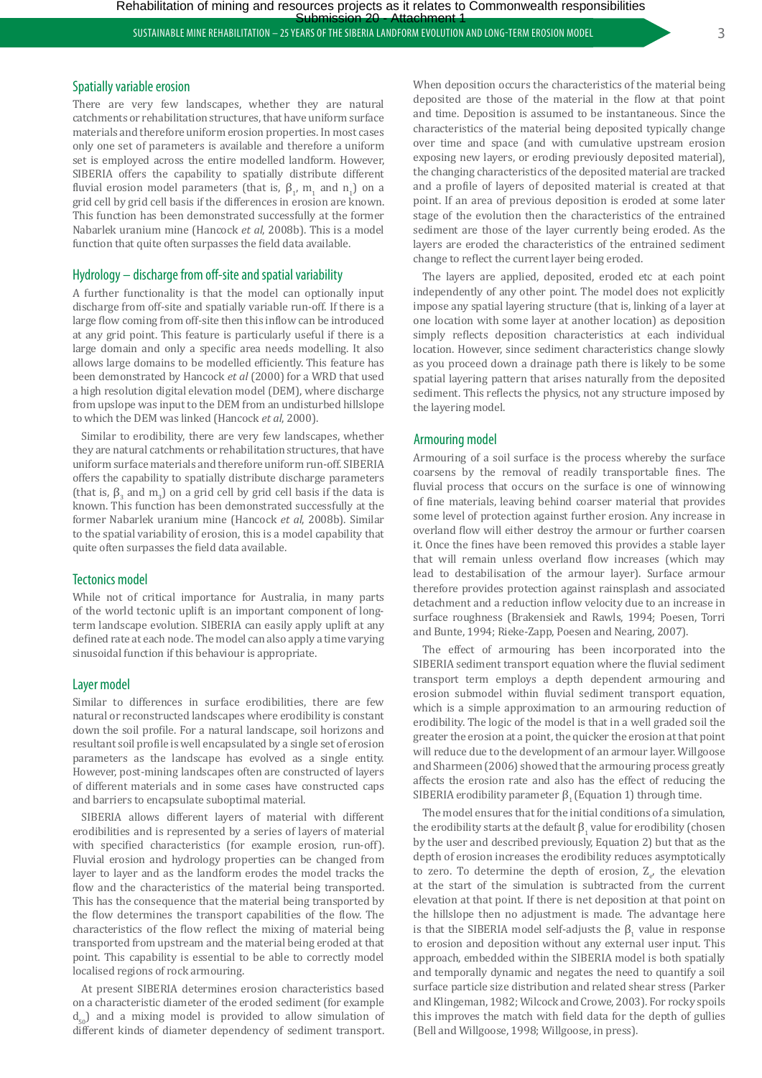#### Spatially variable erosion

There are very few landscapes, whether they are natural catchments or rehabilitation structures, that have uniform surface materials and therefore uniform erosion properties. In most cases only one set of parameters is available and therefore a uniform set is employed across the entire modelled landform. However, SIBERIA offers the capability to spatially distribute different fluvial erosion model parameters (that is,  $\beta_1$ ,  $m_1$  and  $n_1$ ) on a grid cell by grid cell basis if the differences in erosion are known. This function has been demonstrated successfully at the former Nabarlek uranium mine (Hancock *et al*, 2008b). This is a model function that quite often surpasses the field data available.

## Hydrology – discharge from off-site and spatial variability

A further functionality is that the model can optionally input discharge from off-site and spatially variable run-off. If there is a large flow coming from off-site then this inflow can be introduced at any grid point. This feature is particularly useful if there is a large domain and only a specific area needs modelling. It also allows large domains to be modelled efficiently. This feature has been demonstrated by Hancock *et al* (2000) for a WRD that used a high resolution digital elevation model (DEM), where discharge from upslope was input to the DEM from an undisturbed hillslope to which the DEM was linked (Hancock *et al*, 2000).

Similar to erodibility, there are very few landscapes, whether they are natural catchments or rehabilitation structures, that have uniform surface materials and therefore uniform run-off. SIBERIA offers the capability to spatially distribute discharge parameters (that is,  $\beta_3$  and  $m_3$ ) on a grid cell by grid cell basis if the data is known. This function has been demonstrated successfully at the former Nabarlek uranium mine (Hancock *et al*, 2008b). Similar to the spatial variability of erosion, this is a model capability that quite often surpasses the field data available.

## Tectonics model

While not of critical importance for Australia, in many parts of the world tectonic uplift is an important component of longterm landscape evolution. SIBERIA can easily apply uplift at any defined rate at each node. The model can also apply a time varying sinusoidal function if this behaviour is appropriate.

#### Layer model

Similar to differences in surface erodibilities, there are few natural or reconstructed landscapes where erodibility is constant down the soil profile. For a natural landscape, soil horizons and resultant soil profile is well encapsulated by a single set of erosion parameters as the landscape has evolved as a single entity. However, post-mining landscapes often are constructed of layers of different materials and in some cases have constructed caps and barriers to encapsulate suboptimal material.

SIBERIA allows different layers of material with different erodibilities and is represented by a series of layers of material with specified characteristics (for example erosion, run-off). Fluvial erosion and hydrology properties can be changed from layer to layer and as the landform erodes the model tracks the flow and the characteristics of the material being transported. This has the consequence that the material being transported by the flow determines the transport capabilities of the flow. The characteristics of the flow reflect the mixing of material being transported from upstream and the material being eroded at that point. This capability is essential to be able to correctly model localised regions of rock armouring.

At present SIBERIA determines erosion characteristics based on a characteristic diameter of the eroded sediment (for example  $d_{50}$ ) and a mixing model is provided to allow simulation of different kinds of diameter dependency of sediment transport. When deposition occurs the characteristics of the material being deposited are those of the material in the flow at that point and time. Deposition is assumed to be instantaneous. Since the characteristics of the material being deposited typically change over time and space (and with cumulative upstream erosion exposing new layers, or eroding previously deposited material), the changing characteristics of the deposited material are tracked and a profile of layers of deposited material is created at that point. If an area of previous deposition is eroded at some later stage of the evolution then the characteristics of the entrained sediment are those of the layer currently being eroded. As the layers are eroded the characteristics of the entrained sediment change to reflect the current layer being eroded.

The layers are applied, deposited, eroded etc at each point independently of any other point. The model does not explicitly impose any spatial layering structure (that is, linking of a layer at one location with some layer at another location) as deposition simply reflects deposition characteristics at each individual location. However, since sediment characteristics change slowly as you proceed down a drainage path there is likely to be some spatial layering pattern that arises naturally from the deposited sediment. This reflects the physics, not any structure imposed by the layering model.

## Armouring model

Armouring of a soil surface is the process whereby the surface coarsens by the removal of readily transportable fines. The fluvial process that occurs on the surface is one of winnowing of fine materials, leaving behind coarser material that provides some level of protection against further erosion. Any increase in overland flow will either destroy the armour or further coarsen it. Once the fines have been removed this provides a stable layer that will remain unless overland flow increases (which may lead to destabilisation of the armour layer). Surface armour therefore provides protection against rainsplash and associated detachment and a reduction inflow velocity due to an increase in surface roughness (Brakensiek and Rawls, 1994; Poesen, Torri and Bunte, 1994; Rieke-Zapp, Poesen and Nearing, 2007).

The effect of armouring has been incorporated into the SIBERIA sediment transport equation where the fluvial sediment transport term employs a depth dependent armouring and erosion submodel within fluvial sediment transport equation, which is a simple approximation to an armouring reduction of erodibility. The logic of the model is that in a well graded soil the greater the erosion at a point, the quicker the erosion at that point will reduce due to the development of an armour layer. Willgoose and Sharmeen (2006) showed that the armouring process greatly affects the erosion rate and also has the effect of reducing the SIBERIA erodibility parameter  $\beta_1$  (Equation 1) through time.

The model ensures that for the initial conditions of a simulation, the erodibility starts at the default  $\boldsymbol{\beta}_1$  value for erodibility (chosen by the user and described previously, Equation 2) but that as the depth of erosion increases the erodibility reduces asymptotically to zero. To determine the depth of erosion,  $Z_{e'}$ , the elevation at the start of the simulation is subtracted from the current elevation at that point. If there is net deposition at that point on the hillslope then no adjustment is made. The advantage here is that the SIBERIA model self-adjusts the  $\beta_1$  value in response to erosion and deposition without any external user input. This approach, embedded within the SIBERIA model is both spatially and temporally dynamic and negates the need to quantify a soil surface particle size distribution and related shear stress (Parker and Klingeman, 1982; Wilcock and Crowe, 2003). For rocky spoils this improves the match with field data for the depth of gullies (Bell and Willgoose, 1998; Willgoose, in press).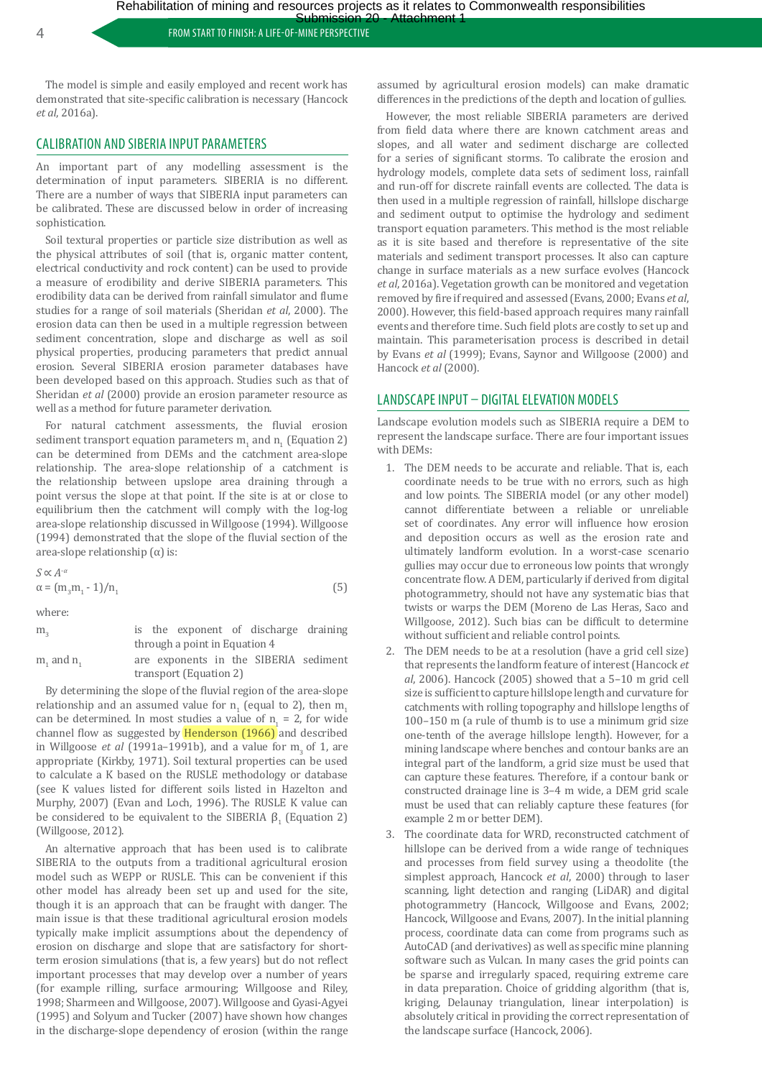4 FROM START TO FINISH: A LIFE-OF-MINE PERSPECTIVE MINE REPORTED MINE RESIDENCE MINE REHABILITATION – 25 YEAR OF THE SIDERIA LANDFORM EVOLUTION EVOLUTION EVOLUTION MODEL AND LONG-TERM EXPLOSION MODEL AND LONG-TERM EROSION

The model is simple and easily employed and recent work has demonstrated that site-specific calibration is necessary (Hancock *et al*, 2016a).

## CALIBRATION AND SIBERIA INPUT PARAMETERS

An important part of any modelling assessment is the determination of input parameters. SIBERIA is no different. There are a number of ways that SIBERIA input parameters can be calibrated. These are discussed below in order of increasing sophistication.

Soil textural properties or particle size distribution as well as the physical attributes of soil (that is, organic matter content, electrical conductivity and rock content) can be used to provide a measure of erodibility and derive SIBERIA parameters. This erodibility data can be derived from rainfall simulator and flume studies for a range of soil materials (Sheridan *et al*, 2000). The erosion data can then be used in a multiple regression between sediment concentration, slope and discharge as well as soil physical properties, producing parameters that predict annual erosion. Several SIBERIA erosion parameter databases have been developed based on this approach. Studies such as that of Sheridan *et al* (2000) provide an erosion parameter resource as well as a method for future parameter derivation.

For natural catchment assessments, the fluvial erosion sediment transport equation parameters  $m_1$  and  $n_1$  (Equation 2) can be determined from DEMs and the catchment area-slope relationship. The area-slope relationship of a catchment is the relationship between upslope area draining through a point versus the slope at that point. If the site is at or close to equilibrium then the catchment will comply with the log-log area-slope relationship discussed in Willgoose (1994). Willgoose (1994) demonstrated that the slope of the fluvial section of the area-slope relationship (α) is:

$$
S \propto A^{-\alpha}
$$
  
\n
$$
\alpha = (m_3 m_1 - 1)/n_1
$$
\n(5)

where:

m<sub>3</sub> is the exponent of discharge draining through a point in Equation 4

| $m_1$ and $n_1$ |                        | are exponents in the SIBERIA sediment |  |  |  |  |  |
|-----------------|------------------------|---------------------------------------|--|--|--|--|--|
|                 | transport (Equation 2) |                                       |  |  |  |  |  |

By determining the slope of the fluvial region of the area-slope relationship and an assumed value for  $n<sub>1</sub>$  (equal to 2), then  $m<sub>1</sub>$ can be determined. In most studies a value of  $n_1 = 2$ , for wide channel flow as suggested by **Henderson** (1966) and described in Willgoose *et al* (1991a–1991b), and a value for m<sub>2</sub> of 1, are appropriate (Kirkby, 1971). Soil textural properties can be used to calculate a K based on the RUSLE methodology or database (see K values listed for different soils listed in Hazelton and Murphy, 2007) (Evan and Loch, 1996). The RUSLE K value can be considered to be equivalent to the SIBERIA  $\beta_1$  (Equation 2) (Willgoose, 2012).

An alternative approach that has been used is to calibrate SIBERIA to the outputs from a traditional agricultural erosion model such as WEPP or RUSLE. This can be convenient if this other model has already been set up and used for the site, though it is an approach that can be fraught with danger. The main issue is that these traditional agricultural erosion models typically make implicit assumptions about the dependency of erosion on discharge and slope that are satisfactory for shortterm erosion simulations (that is, a few years) but do not reflect important processes that may develop over a number of years (for example rilling, surface armouring; Willgoose and Riley, 1998; Sharmeen and Willgoose, 2007). Willgoose and Gyasi-Agyei (1995) and Solyum and Tucker (2007) have shown how changes in the discharge-slope dependency of erosion (within the range

assumed by agricultural erosion models) can make dramatic differences in the predictions of the depth and location of gullies.

However, the most reliable SIBERIA parameters are derived from field data where there are known catchment areas and slopes, and all water and sediment discharge are collected for a series of significant storms. To calibrate the erosion and hydrology models, complete data sets of sediment loss, rainfall and run-off for discrete rainfall events are collected. The data is then used in a multiple regression of rainfall, hillslope discharge and sediment output to optimise the hydrology and sediment transport equation parameters. This method is the most reliable as it is site based and therefore is representative of the site materials and sediment transport processes. It also can capture change in surface materials as a new surface evolves (Hancock *et al*, 2016a). Vegetation growth can be monitored and vegetation removed by fire if required and assessed (Evans, 2000; Evans *et al*, 2000). However, this field-based approach requires many rainfall events and therefore time. Such field plots are costly to set up and maintain. This parameterisation process is described in detail by Evans *et al* (1999); Evans, Saynor and Willgoose (2000) and Hancock *et al* (2000).

# LANDSCAPE INPUT – DIGITAL ELEVATION MODELS

Landscape evolution models such as SIBERIA require a DEM to represent the landscape surface. There are four important issues with DEMs:

- 1. The DEM needs to be accurate and reliable. That is, each coordinate needs to be true with no errors, such as high and low points. The SIBERIA model (or any other model) cannot differentiate between a reliable or unreliable set of coordinates. Any error will influence how erosion and deposition occurs as well as the erosion rate and ultimately landform evolution. In a worst-case scenario gullies may occur due to erroneous low points that wrongly concentrate flow. A DEM, particularly if derived from digital photogrammetry, should not have any systematic bias that twists or warps the DEM (Moreno de Las Heras, Saco and Willgoose, 2012). Such bias can be difficult to determine without sufficient and reliable control points.
- 2. The DEM needs to be at a resolution (have a grid cell size) that represents the landform feature of interest (Hancock *et al*, 2006). Hancock (2005) showed that a 5–10 m grid cell size is sufficient to capture hillslope length and curvature for catchments with rolling topography and hillslope lengths of 100–150 m (a rule of thumb is to use a minimum grid size one-tenth of the average hillslope length). However, for a mining landscape where benches and contour banks are an integral part of the landform, a grid size must be used that can capture these features. Therefore, if a contour bank or constructed drainage line is 3–4 m wide, a DEM grid scale must be used that can reliably capture these features (for example 2 m or better DEM).
- 3. The coordinate data for WRD, reconstructed catchment of hillslope can be derived from a wide range of techniques and processes from field survey using a theodolite (the simplest approach, Hancock *et al*, 2000) through to laser scanning, light detection and ranging (LiDAR) and digital photogrammetry (Hancock, Willgoose and Evans, 2002; Hancock, Willgoose and Evans, 2007). In the initial planning process, coordinate data can come from programs such as AutoCAD (and derivatives) as well as specific mine planning software such as Vulcan. In many cases the grid points can be sparse and irregularly spaced, requiring extreme care in data preparation. Choice of gridding algorithm (that is, kriging, Delaunay triangulation, linear interpolation) is absolutely critical in providing the correct representation of the landscape surface (Hancock, 2006).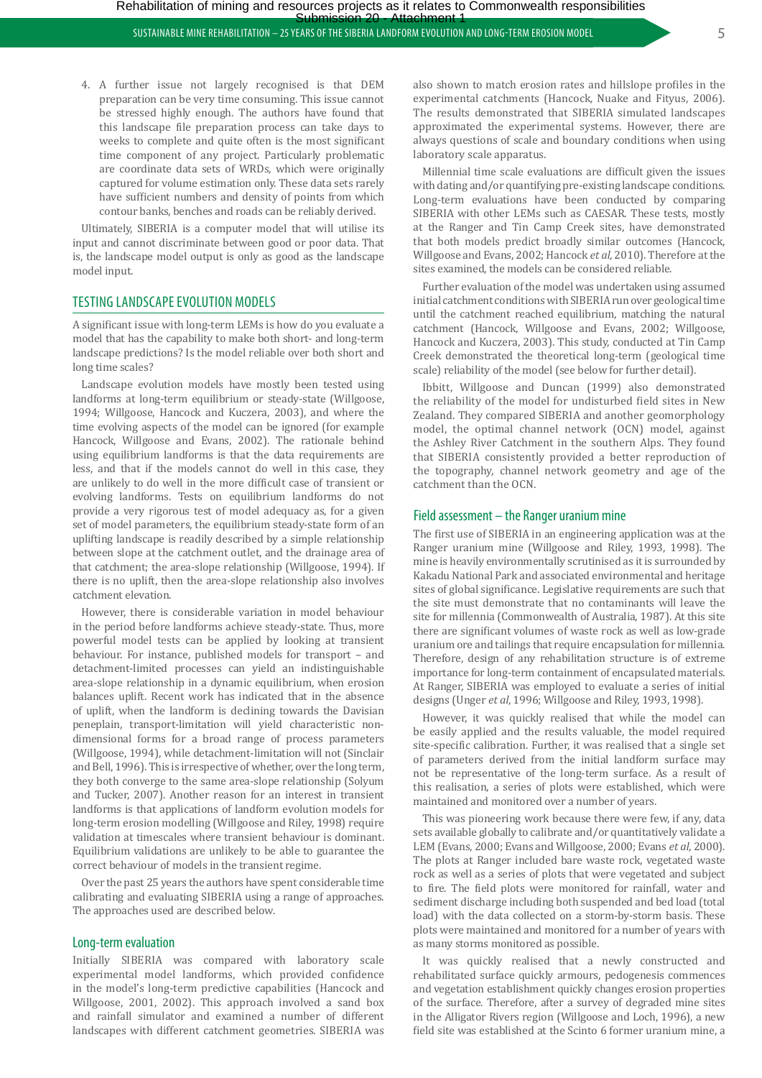4. A further issue not largely recognised is that DEM preparation can be very time consuming. This issue cannot be stressed highly enough. The authors have found that this landscape file preparation process can take days to weeks to complete and quite often is the most significant time component of any project. Particularly problematic are coordinate data sets of WRDs, which were originally captured for volume estimation only. These data sets rarely have sufficient numbers and density of points from which contour banks, benches and roads can be reliably derived.

Ultimately, SIBERIA is a computer model that will utilise its input and cannot discriminate between good or poor data. That is, the landscape model output is only as good as the landscape model input.

## TESTING landSCAPE evolution models

A significant issue with long-term LEMs is how do you evaluate a model that has the capability to make both short- and long-term landscape predictions? Is the model reliable over both short and long time scales?

Landscape evolution models have mostly been tested using landforms at long-term equilibrium or steady-state (Willgoose, 1994; Willgoose, Hancock and Kuczera, 2003), and where the time evolving aspects of the model can be ignored (for example Hancock, Willgoose and Evans, 2002). The rationale behind using equilibrium landforms is that the data requirements are less, and that if the models cannot do well in this case, they are unlikely to do well in the more difficult case of transient or evolving landforms. Tests on equilibrium landforms do not provide a very rigorous test of model adequacy as, for a given set of model parameters, the equilibrium steady-state form of an uplifting landscape is readily described by a simple relationship between slope at the catchment outlet, and the drainage area of that catchment; the area-slope relationship (Willgoose, 1994). If there is no uplift, then the area-slope relationship also involves catchment elevation.

However, there is considerable variation in model behaviour in the period before landforms achieve steady-state. Thus, more powerful model tests can be applied by looking at transient behaviour. For instance, published models for transport – and detachment-limited processes can yield an indistinguishable area-slope relationship in a dynamic equilibrium, when erosion balances uplift. Recent work has indicated that in the absence of uplift, when the landform is declining towards the Davisian peneplain, transport-limitation will yield characteristic nondimensional forms for a broad range of process parameters (Willgoose, 1994), while detachment-limitation will not (Sinclair and Bell, 1996). This is irrespective of whether, over the long term, they both converge to the same area-slope relationship (Solyum and Tucker, 2007). Another reason for an interest in transient landforms is that applications of landform evolution models for long-term erosion modelling (Willgoose and Riley, 1998) require validation at timescales where transient behaviour is dominant. Equilibrium validations are unlikely to be able to guarantee the correct behaviour of models in the transient regime.

Over the past 25 years the authors have spent considerable time calibrating and evaluating SIBERIA using a range of approaches. The approaches used are described below.

## Long-term evaluation

Initially SIBERIA was compared with laboratory scale experimental model landforms, which provided confidence in the model's long-term predictive capabilities (Hancock and Willgoose, 2001, 2002). This approach involved a sand box and rainfall simulator and examined a number of different landscapes with different catchment geometries. SIBERIA was

also shown to match erosion rates and hillslope profiles in the experimental catchments (Hancock*,* Nuake and Fityus, 2006). The results demonstrated that SIBERIA simulated landscapes approximated the experimental systems. However, there are always questions of scale and boundary conditions when using laboratory scale apparatus.

Millennial time scale evaluations are difficult given the issues with dating and/or quantifying pre-existing landscape conditions. Long-term evaluations have been conducted by comparing SIBERIA with other LEMs such as CAESAR. These tests, mostly at the Ranger and Tin Camp Creek sites, have demonstrated that both models predict broadly similar outcomes (Hancock, Willgoose and Evans, 2002; Hancock *et al*, 2010). Therefore at the sites examined, the models can be considered reliable.

Further evaluation of the model was undertaken using assumed initial catchment conditions with SIBERIA run over geological time until the catchment reached equilibrium, matching the natural catchment (Hancock, Willgoose and Evans, 2002; Willgoose, Hancock and Kuczera, 2003). This study, conducted at Tin Camp Creek demonstrated the theoretical long-term (geological time scale) reliability of the model (see below for further detail).

Ibbitt, Willgoose and Duncan (1999) also demonstrated the reliability of the model for undisturbed field sites in New Zealand. They compared SIBERIA and another geomorphology model, the optimal channel network (OCN) model, against the Ashley River Catchment in the southern Alps. They found that SIBERIA consistently provided a better reproduction of the topography, channel network geometry and age of the catchment than the OCN.

#### Field assessment – the Ranger uranium mine

The first use of SIBERIA in an engineering application was at the Ranger uranium mine (Willgoose and Riley, 1993, 1998). The mine is heavily environmentally scrutinised as it is surrounded by Kakadu National Park and associated environmental and heritage sites of global significance. Legislative requirements are such that the site must demonstrate that no contaminants will leave the site for millennia (Commonwealth of Australia, 1987). At this site there are significant volumes of waste rock as well as low-grade uranium ore and tailings that require encapsulation for millennia. Therefore, design of any rehabilitation structure is of extreme importance for long-term containment of encapsulated materials. At Ranger, SIBERIA was employed to evaluate a series of initial designs (Unger *et al*, 1996; Willgoose and Riley, 1993, 1998).

However, it was quickly realised that while the model can be easily applied and the results valuable, the model required site-specific calibration. Further, it was realised that a single set of parameters derived from the initial landform surface may not be representative of the long-term surface. As a result of this realisation, a series of plots were established, which were maintained and monitored over a number of years.

This was pioneering work because there were few, if any, data sets available globally to calibrate and/or quantitatively validate a LEM (Evans, 2000; Evans and Willgoose, 2000; Evans *et al*, 2000). The plots at Ranger included bare waste rock, vegetated waste rock as well as a series of plots that were vegetated and subject to fire. The field plots were monitored for rainfall, water and sediment discharge including both suspended and bed load (total load) with the data collected on a storm-by-storm basis. These plots were maintained and monitored for a number of years with as many storms monitored as possible.

It was quickly realised that a newly constructed and rehabilitated surface quickly armours, pedogenesis commences and vegetation establishment quickly changes erosion properties of the surface. Therefore, after a survey of degraded mine sites in the Alligator Rivers region (Willgoose and Loch, 1996), a new field site was established at the Scinto 6 former uranium mine, a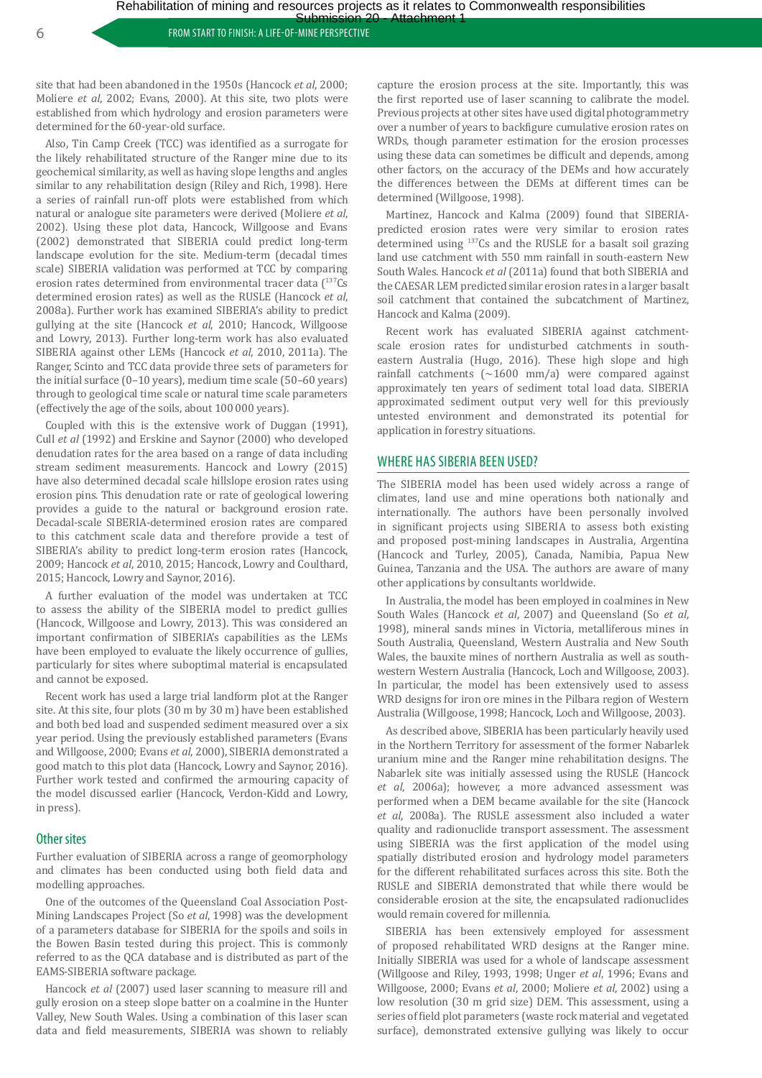**6 FROM START TO FINISH: A LIFE-OF-MINE PERSPECTIVE** 

site that had been abandoned in the 1950s (Hancock *et al*, 2000; Moliere *et al*, 2002; Evans, 2000). At this site, two plots were established from which hydrology and erosion parameters were determined for the 60-year-old surface.

Also, Tin Camp Creek (TCC) was identified as a surrogate for the likely rehabilitated structure of the Ranger mine due to its geochemical similarity, as well as having slope lengths and angles similar to any rehabilitation design (Riley and Rich, 1998). Here a series of rainfall run-off plots were established from which natural or analogue site parameters were derived (Moliere *et al*, 2002). Using these plot data, Hancock, Willgoose and Evans (2002) demonstrated that SIBERIA could predict long-term landscape evolution for the site. Medium-term (decadal times scale) SIBERIA validation was performed at TCC by comparing erosion rates determined from environmental tracer data (137Cs) determined erosion rates) as well as the RUSLE (Hancock *et al*, 2008a). Further work has examined SIBERIA's ability to predict gullying at the site (Hancock *et al*, 2010; Hancock, Willgoose and Lowry, 2013). Further long-term work has also evaluated SIBERIA against other LEMs (Hancock *et al*, 2010, 2011a). The Ranger, Scinto and TCC data provide three sets of parameters for the initial surface (0–10 years), medium time scale (50–60 years) through to geological time scale or natural time scale parameters (effectively the age of the soils, about 100 000 years).

Coupled with this is the extensive work of Duggan (1991), Cull *et al* (1992) and Erskine and Saynor (2000) who developed denudation rates for the area based on a range of data including stream sediment measurements. Hancock and Lowry (2015) have also determined decadal scale hillslope erosion rates using erosion pins. This denudation rate or rate of geological lowering provides a guide to the natural or background erosion rate. Decadal-scale SIBERIA-determined erosion rates are compared to this catchment scale data and therefore provide a test of SIBERIA's ability to predict long-term erosion rates (Hancock, 2009; Hancock *et al*, 2010, 2015; Hancock, Lowry and Coulthard, 2015; Hancock, Lowry and Saynor, 2016).

A further evaluation of the model was undertaken at TCC to assess the ability of the SIBERIA model to predict gullies (Hancock, Willgoose and Lowry, 2013). This was considered an important confirmation of SIBERIA's capabilities as the LEMs have been employed to evaluate the likely occurrence of gullies, particularly for sites where suboptimal material is encapsulated and cannot be exposed.

Recent work has used a large trial landform plot at the Ranger site. At this site, four plots (30 m by 30 m) have been established and both bed load and suspended sediment measured over a six year period. Using the previously established parameters (Evans and Willgoose, 2000; Evans *et al*, 2000), SIBERIA demonstrated a good match to this plot data (Hancock, Lowry and Saynor, 2016). Further work tested and confirmed the armouring capacity of the model discussed earlier (Hancock, Verdon-Kidd and Lowry, in press).

#### Other sites

Further evaluation of SIBERIA across a range of geomorphology and climates has been conducted using both field data and modelling approaches.

One of the outcomes of the Queensland Coal Association Post-Mining Landscapes Project (So *et al*, 1998) was the development of a parameters database for SIBERIA for the spoils and soils in the Bowen Basin tested during this project. This is commonly referred to as the QCA database and is distributed as part of the EAMS-SIBERIA software package.

Hancock *et al* (2007) used laser scanning to measure rill and gully erosion on a steep slope batter on a coalmine in the Hunter Valley, New South Wales. Using a combination of this laser scan data and field measurements, SIBERIA was shown to reliably

capture the erosion process at the site. Importantly, this was the first reported use of laser scanning to calibrate the model. Previous projects at other sites have used digital photogrammetry over a number of years to backfigure cumulative erosion rates on WRDs, though parameter estimation for the erosion processes using these data can sometimes be difficult and depends, among other factors, on the accuracy of the DEMs and how accurately the differences between the DEMs at different times can be determined (Willgoose, 1998).

Martinez, Hancock and Kalma (2009) found that SIBERIApredicted erosion rates were very similar to erosion rates determined using 137Cs and the RUSLE for a basalt soil grazing land use catchment with 550 mm rainfall in south-eastern New South Wales. Hancock *et al* (2011a) found that both SIBERIA and the CAESAR LEM predicted similar erosion rates in a larger basalt soil catchment that contained the subcatchment of Martinez, Hancock and Kalma (2009).

Recent work has evaluated SIBERIA against catchmentscale erosion rates for undisturbed catchments in southeastern Australia (Hugo, 2016). These high slope and high rainfall catchments  $\left(\sim 1600 \text{ mm/a}\right)$  were compared against approximately ten years of sediment total load data. SIBERIA approximated sediment output very well for this previously untested environment and demonstrated its potential for application in forestry situations.

## WHERE HAS SIBERIA BEEN USED?

The SIBERIA model has been used widely across a range of climates, land use and mine operations both nationally and internationally. The authors have been personally involved in significant projects using SIBERIA to assess both existing and proposed post-mining landscapes in Australia, Argentina (Hancock and Turley, 2005), Canada, Namibia, Papua New Guinea, Tanzania and the USA. The authors are aware of many other applications by consultants worldwide.

In Australia, the model has been employed in coalmines in New South Wales (Hancock *et al*, 2007) and Queensland (So *et al*, 1998), mineral sands mines in Victoria, metalliferous mines in South Australia, Queensland, Western Australia and New South Wales, the bauxite mines of northern Australia as well as southwestern Western Australia (Hancock, Loch and Willgoose, 2003). In particular, the model has been extensively used to assess WRD designs for iron ore mines in the Pilbara region of Western Australia (Willgoose, 1998; Hancock, Loch and Willgoose, 2003).

As described above, SIBERIA has been particularly heavily used in the Northern Territory for assessment of the former Nabarlek uranium mine and the Ranger mine rehabilitation designs. The Nabarlek site was initially assessed using the RUSLE (Hancock *et al*, 2006a); however, a more advanced assessment was performed when a DEM became available for the site (Hancock *et al*, 2008a). The RUSLE assessment also included a water quality and radionuclide transport assessment. The assessment using SIBERIA was the first application of the model using spatially distributed erosion and hydrology model parameters for the different rehabilitated surfaces across this site. Both the RUSLE and SIBERIA demonstrated that while there would be considerable erosion at the site, the encapsulated radionuclides would remain covered for millennia.

SIBERIA has been extensively employed for assessment of proposed rehabilitated WRD designs at the Ranger mine. Initially SIBERIA was used for a whole of landscape assessment (Willgoose and Riley, 1993, 1998; Unger *et al*, 1996; Evans and Willgoose, 2000; Evans *et al*, 2000; Moliere *et al*, 2002) using a low resolution (30 m grid size) DEM. This assessment, using a series of field plot parameters (waste rock material and vegetated surface), demonstrated extensive gullying was likely to occur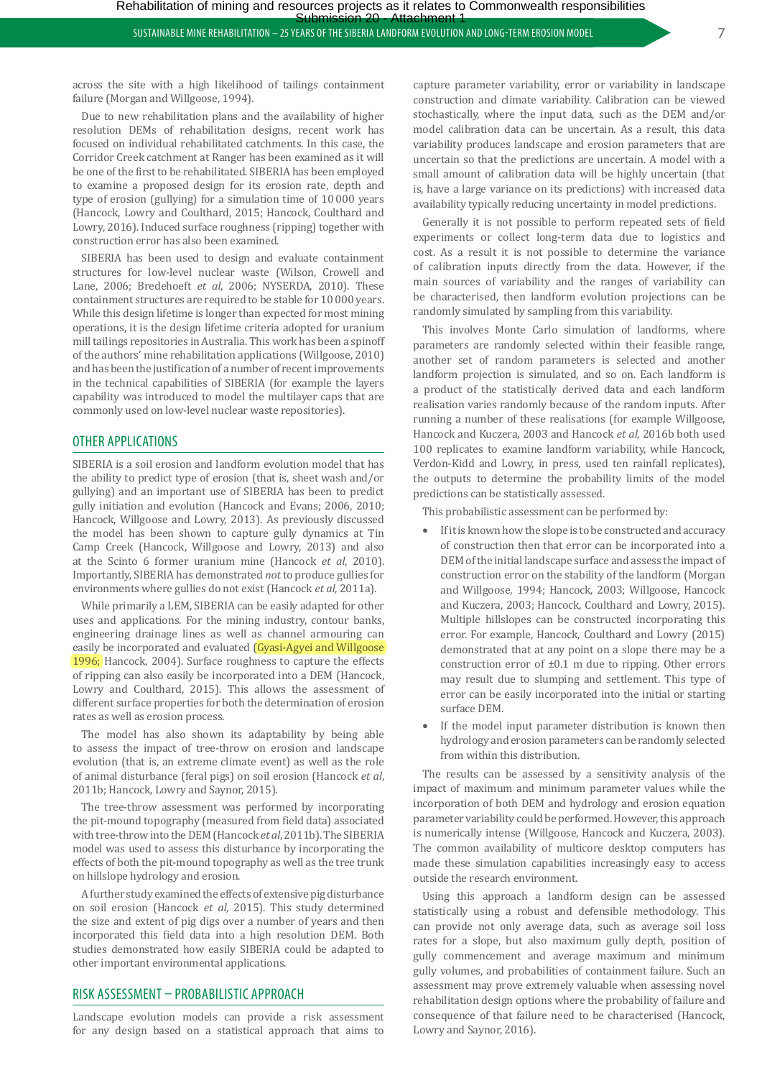across the site with a high likelihood of tailings containment failure (Morgan and Willgoose, 1994).

Due to new rehabilitation plans and the availability of higher resolution DEMs of rehabilitation designs, recent work has focused on individual rehabilitated catchments. In this case, the Corridor Creek catchment at Ranger has been examined as it will be one of the first to be rehabilitated. SIBERIA has been employed to examine a proposed design for its erosion rate, depth and type of erosion (gullying) for a simulation time of 10 000 years (Hancock, Lowry and Coulthard, 2015; Hancock, Coulthard and Lowry, 2016). Induced surface roughness (ripping) together with construction error has also been examined.

SIBERIA has been used to design and evaluate containment structures for low-level nuclear waste (Wilson, Crowell and Lane, 2006; Bredehoeft *et al*, 2006; NYSERDA, 2010). These containment structures are required to be stable for 10 000 years. While this design lifetime is longer than expected for most mining operations, it is the design lifetime criteria adopted for uranium mill tailings repositories in Australia. This work has been a spinoff of the authors' mine rehabilitation applications (Willgoose, 2010) and has been the justification of a number of recent improvements in the technical capabilities of SIBERIA (for example the layers capability was introduced to model the multilayer caps that are commonly used on low-level nuclear waste repositories).

# OTHER APPLICATIONS

SIBERIA is a soil erosion and landform evolution model that has the ability to predict type of erosion (that is, sheet wash and/or gullying) and an important use of SIBERIA has been to predict gully initiation and evolution (Hancock and Evans; 2006, 2010; Hancock, Willgoose and Lowry, 2013). As previously discussed the model has been shown to capture gully dynamics at Tin Camp Creek (Hancock, Willgoose and Lowry, 2013) and also at the Scinto 6 former uranium mine (Hancock *et al*, 2010). Importantly, SIBERIA has demonstrated *not* to produce gullies for environments where gullies do not exist (Hancock *et al*, 2011a).

While primarily a LEM, SIBERIA can be easily adapted for other uses and applications. For the mining industry, contour banks, engineering drainage lines as well as channel armouring can easily be incorporated and evaluated (Gyasi-Agyei and Willgoose 1996; Hancock, 2004). Surface roughness to capture the effects of ripping can also easily be incorporated into a DEM (Hancock, Lowry and Coulthard, 2015). This allows the assessment of different surface properties for both the determination of erosion rates as well as erosion process.

The model has also shown its adaptability by being able to assess the impact of tree-throw on erosion and landscape evolution (that is, an extreme climate event) as well as the role of animal disturbance (feral pigs) on soil erosion (Hancock *et al*, 2011b; Hancock, Lowry and Saynor, 2015).

The tree-throw assessment was performed by incorporating the pit-mound topography (measured from field data) associated with tree-throw into the DEM (Hancock *et al*, 2011b). The SIBERIA model was used to assess this disturbance by incorporating the effects of both the pit-mound topography as well as the tree trunk on hillslope hydrology and erosion.

A further study examined the effects of extensive pig disturbance on soil erosion (Hancock *et al*, 2015). This study determined the size and extent of pig digs over a number of years and then incorporated this field data into a high resolution DEM. Both studies demonstrated how easily SIBERIA could be adapted to other important environmental applications.

## RISK ASSESSMENT – PROBABILISTIC APPROACH

Landscape evolution models can provide a risk assessment for any design based on a statistical approach that aims to capture parameter variability, error or variability in landscape construction and climate variability. Calibration can be viewed stochastically, where the input data, such as the DEM and/or model calibration data can be uncertain. As a result, this data variability produces landscape and erosion parameters that are uncertain so that the predictions are uncertain. A model with a small amount of calibration data will be highly uncertain (that is, have a large variance on its predictions) with increased data availability typically reducing uncertainty in model predictions.

Generally it is not possible to perform repeated sets of field experiments or collect long-term data due to logistics and cost. As a result it is not possible to determine the variance of calibration inputs directly from the data. However, if the main sources of variability and the ranges of variability can be characterised, then landform evolution projections can be randomly simulated by sampling from this variability.

This involves Monte Carlo simulation of landforms, where parameters are randomly selected within their feasible range, another set of random parameters is selected and another landform projection is simulated, and so on. Each landform is a product of the statistically derived data and each landform realisation varies randomly because of the random inputs. After running a number of these realisations (for example Willgoose, Hancock and Kuczera, 2003 and Hancock *et al*, 2016b both used 100 replicates to examine landform variability, while Hancock, Verdon-Kidd and Lowry, in press, used ten rainfall replicates), the outputs to determine the probability limits of the model predictions can be statistically assessed.

This probabilistic assessment can be performed by:

- If it is known how the slope is to be constructed and accuracy of construction then that error can be incorporated into a DEM of the initial landscape surface and assess the impact of construction error on the stability of the landform (Morgan and Willgoose, 1994; Hancock, 2003; Willgoose, Hancock and Kuczera, 2003; Hancock, Coulthard and Lowry, 2015). Multiple hillslopes can be constructed incorporating this error. For example, Hancock, Coulthard and Lowry (2015) demonstrated that at any point on a slope there may be a construction error of  $\pm 0.1$  m due to ripping. Other errors may result due to slumping and settlement. This type of error can be easily incorporated into the initial or starting surface DEM.
- If the model input parameter distribution is known then hydrology and erosion parameters can be randomly selected from within this distribution.

The results can be assessed by a sensitivity analysis of the impact of maximum and minimum parameter values while the incorporation of both DEM and hydrology and erosion equation parameter variability could be performed. However, this approach is numerically intense (Willgoose, Hancock and Kuczera, 2003). The common availability of multicore desktop computers has made these simulation capabilities increasingly easy to access outside the research environment.

Using this approach a landform design can be assessed statistically using a robust and defensible methodology. This can provide not only average data, such as average soil loss rates for a slope, but also maximum gully depth, position of gully commencement and average maximum and minimum gully volumes, and probabilities of containment failure. Such an assessment may prove extremely valuable when assessing novel rehabilitation design options where the probability of failure and consequence of that failure need to be characterised (Hancock, Lowry and Saynor, 2016).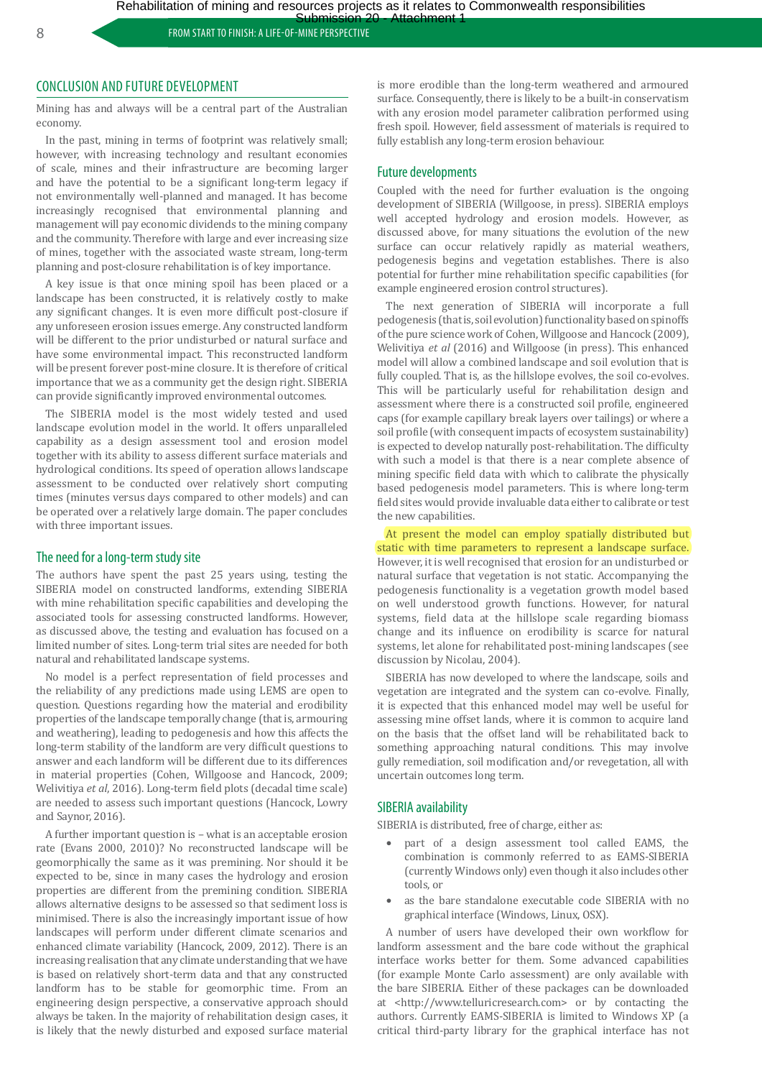Rehabilitation of mining and resources projects as it relates to Commonwealth responsibilities

8 **Sustainable mine reduced mine reflexion – 25 years of the SIBERIA landform evolution – 25 years of the SIBERIA landform evolution evolution evolution evolution evolution evolution model was and long-term erosion model w** 

#### CONCLUSION AND FUTURE DEVELOPMENT

Mining has and always will be a central part of the Australian economy.

In the past, mining in terms of footprint was relatively small: however, with increasing technology and resultant economies of scale, mines and their infrastructure are becoming larger and have the potential to be a significant long-term legacy if not environmentally well-planned and managed. It has become increasingly recognised that environmental planning and management will pay economic dividends to the mining company and the community. Therefore with large and ever increasing size of mines, together with the associated waste stream, long-term planning and post-closure rehabilitation is of key importance.

A key issue is that once mining spoil has been placed or a landscape has been constructed, it is relatively costly to make any significant changes. It is even more difficult post-closure if any unforeseen erosion issues emerge. Any constructed landform will be different to the prior undisturbed or natural surface and have some environmental impact. This reconstructed landform will be present forever post-mine closure. It is therefore of critical importance that we as a community get the design right. SIBERIA can provide significantly improved environmental outcomes.

The SIBERIA model is the most widely tested and used landscape evolution model in the world. It offers unparalleled capability as a design assessment tool and erosion model together with its ability to assess different surface materials and hydrological conditions. Its speed of operation allows landscape assessment to be conducted over relatively short computing times (minutes versus days compared to other models) and can be operated over a relatively large domain. The paper concludes with three important issues.

#### The need for a long-term study site

The authors have spent the past 25 years using, testing the SIBERIA model on constructed landforms, extending SIBERIA with mine rehabilitation specific capabilities and developing the associated tools for assessing constructed landforms. However, as discussed above, the testing and evaluation has focused on a limited number of sites. Long-term trial sites are needed for both natural and rehabilitated landscape systems.

No model is a perfect representation of field processes and the reliability of any predictions made using LEMS are open to question. Questions regarding how the material and erodibility properties of the landscape temporally change (that is, armouring and weathering), leading to pedogenesis and how this affects the long-term stability of the landform are very difficult questions to answer and each landform will be different due to its differences in material properties (Cohen, Willgoose and Hancock, 2009; Welivitiya *et al*, 2016). Long-term field plots (decadal time scale) are needed to assess such important questions (Hancock, Lowry and Saynor, 2016).

A further important question is – what is an acceptable erosion rate (Evans 2000, 2010)? No reconstructed landscape will be geomorphically the same as it was premining. Nor should it be expected to be, since in many cases the hydrology and erosion properties are different from the premining condition. SIBERIA allows alternative designs to be assessed so that sediment loss is minimised. There is also the increasingly important issue of how landscapes will perform under different climate scenarios and enhanced climate variability (Hancock, 2009, 2012). There is an increasing realisation that any climate understanding that we have is based on relatively short-term data and that any constructed landform has to be stable for geomorphic time. From an engineering design perspective, a conservative approach should always be taken. In the majority of rehabilitation design cases, it is likely that the newly disturbed and exposed surface material is more erodible than the long-term weathered and armoured surface. Consequently, there is likely to be a built-in conservatism with any erosion model parameter calibration performed using fresh spoil. However, field assessment of materials is required to fully establish any long-term erosion behaviour.

#### Future developments

Coupled with the need for further evaluation is the ongoing development of SIBERIA (Willgoose, in press). SIBERIA employs well accepted hydrology and erosion models. However, as discussed above, for many situations the evolution of the new surface can occur relatively rapidly as material weathers, pedogenesis begins and vegetation establishes. There is also potential for further mine rehabilitation specific capabilities (for example engineered erosion control structures).

The next generation of SIBERIA will incorporate a full pedogenesis (that is, soil evolution) functionality based on spinoffs of the pure science work of Cohen, Willgoose and Hancock (2009), Welivitiya *et al* (2016) and Willgoose (in press). This enhanced model will allow a combined landscape and soil evolution that is fully coupled. That is, as the hillslope evolves, the soil co-evolves. This will be particularly useful for rehabilitation design and assessment where there is a constructed soil profile, engineered caps (for example capillary break layers over tailings) or where a soil profile (with consequent impacts of ecosystem sustainability) is expected to develop naturally post-rehabilitation. The difficulty with such a model is that there is a near complete absence of mining specific field data with which to calibrate the physically based pedogenesis model parameters. This is where long-term field sites would provide invaluable data either to calibrate or test the new capabilities.

At present the model can employ spatially distributed but static with time parameters to represent a landscape surface. However, it is well recognised that erosion for an undisturbed or natural surface that vegetation is not static. Accompanying the pedogenesis functionality is a vegetation growth model based on well understood growth functions. However, for natural systems, field data at the hillslope scale regarding biomass change and its influence on erodibility is scarce for natural systems, let alone for rehabilitated post-mining landscapes (see discussion by Nicolau, 2004).

SIBERIA has now developed to where the landscape, soils and vegetation are integrated and the system can co-evolve. Finally, it is expected that this enhanced model may well be useful for assessing mine offset lands, where it is common to acquire land on the basis that the offset land will be rehabilitated back to something approaching natural conditions. This may involve gully remediation, soil modification and/or revegetation, all with uncertain outcomes long term.

#### SIBERIA availability

SIBERIA is distributed, free of charge, either as:

- part of a design assessment tool called EAMS, the combination is commonly referred to as EAMS-SIBERIA (currently Windows only) even though it also includes other tools, or
- as the bare standalone executable code SIBERIA with no graphical interface (Windows, Linux, OSX).

A number of users have developed their own workflow for landform assessment and the bare code without the graphical interface works better for them. Some advanced capabilities (for example Monte Carlo assessment) are only available with the bare SIBERIA. Either of these packages can be downloaded at <http://www.telluricresearch.com> or by contacting the authors. Currently EAMS-SIBERIA is limited to Windows XP (a critical third-party library for the graphical interface has not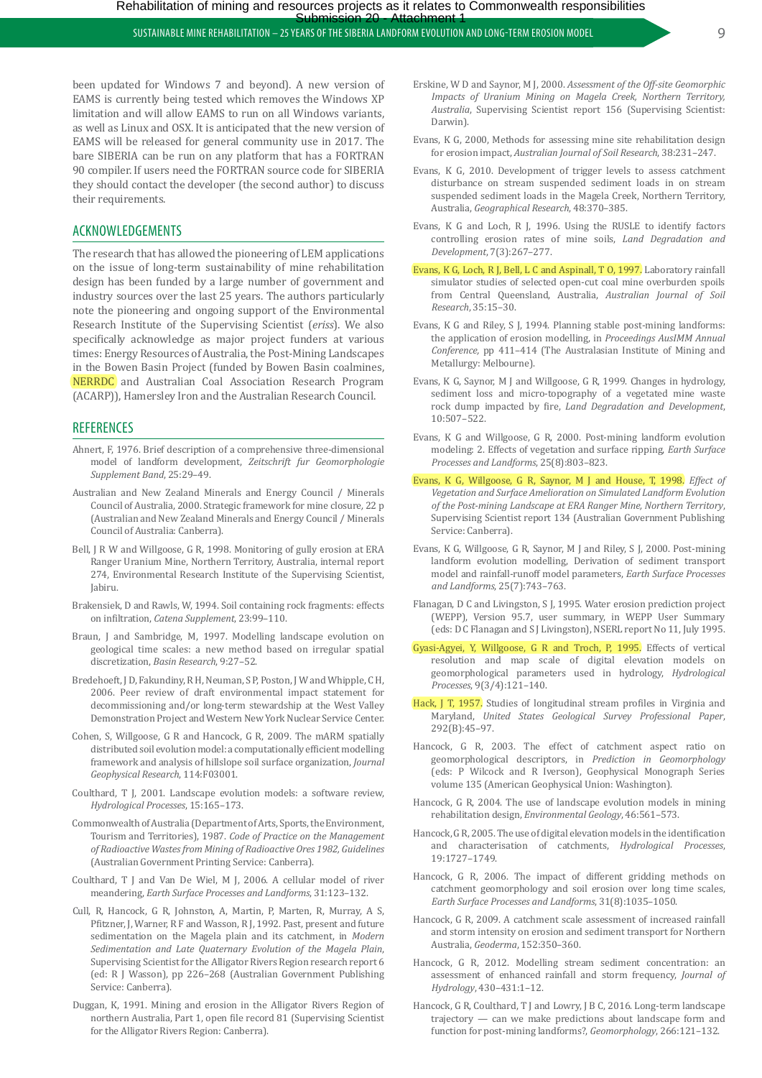Sustainable mine rehabilitation – 25 years of the SIBERIA landform evolution and long-term erosion model 9

been updated for Windows 7 and beyond). A new version of EAMS is currently being tested which removes the Windows XP limitation and will allow EAMS to run on all Windows variants, as well as Linux and OSX. It is anticipated that the new version of EAMS will be released for general community use in 2017. The bare SIBERIA can be run on any platform that has a FORTRAN 90 compiler. If users need the FORTRAN source code for SIBERIA they should contact the developer (the second author) to discuss their requirements.

# ACKNOWLEDGEMENTS

The research that has allowed the pioneering of LEM applications on the issue of long-term sustainability of mine rehabilitation design has been funded by a large number of government and industry sources over the last 25 years. The authors particularly note the pioneering and ongoing support of the Environmental Research Institute of the Supervising Scientist (*eriss*). We also specifically acknowledge as major project funders at various times: Energy Resources of Australia, the Post-Mining Landscapes in the Bowen Basin Project (funded by Bowen Basin coalmines, NERRDC and Australian Coal Association Research Program (ACARP)), Hamersley Iron and the Australian Research Council.

## **REFERENCES**

- Ahnert, F, 1976. Brief description of a comprehensive three-dimensional model of landform development, *Zeitschrift fur Geomorphologie Supplement Band*, 25:29–49.
- Australian and New Zealand Minerals and Energy Council / Minerals Council of Australia, 2000. Strategic framework for mine closure*,* 22 p (Australian and New Zealand Minerals and Energy Council / Minerals Council of Australia: Canberra).
- Bell, J R W and Willgoose, G R, 1998. Monitoring of gully erosion at ERA Ranger Uranium Mine, Northern Territory, Australia, internal report 274, Environmental Research Institute of the Supervising Scientist, Jabiru.
- Brakensiek, D and Rawls, W, 1994. Soil containing rock fragments: effects on infiltration, *Catena Supplement*, 23:99–110.
- Braun, J and Sambridge, M, 1997. Modelling landscape evolution on geological time scales: a new method based on irregular spatial discretization, *Basin Research*, 9:27–52.
- Bredehoeft, J D, Fakundiny, R H, Neuman, S P, Poston, J W and Whipple, CH, 2006. Peer review of draft environmental impact statement for decommissioning and/or long-term stewardship at the West Valley Demonstration Project and Western New York Nuclear Service Center.
- Cohen, S, Willgoose, G R and Hancock, G R, 2009. The mARM spatially distributed soil evolution model: a computationally efficient modelling framework and analysis of hillslope soil surface organization, *Journal Geophysical Research*, 114:F03001.
- Coulthard, T J, 2001. Landscape evolution models: a software review, *Hydrological Processes*, 15:165–173.
- Commonwealth of Australia (Department of Arts, Sports, the Environment, Tourism and Territories), 1987. *Code of Practice on the Management of Radioactive Wastes from Mining of Radioactive Ores 1982, Guidelines* (Australian Government Printing Service: Canberra).
- Coulthard, T J and Van De Wiel, M J, 2006. A cellular model of river meandering, *Earth Surface Processes and Landforms*, 31:123–132.
- Cull, R, Hancock, G R, Johnston, A, Martin, P, Marten, R, Murray, A S, Pfitzner, J, Warner, R F and Wasson, R J, 1992. Past, present and future sedimentation on the Magela plain and its catchment, in *Modern Sedimentation and Late Quaternary Evolution of the Magela Plain*, Supervising Scientist for the Alligator Rivers Region research report 6 (ed: R J Wasson), pp 226–268 (Australian Government Publishing Service: Canberra).
- Duggan, K, 1991. Mining and erosion in the Alligator Rivers Region of northern Australia, Part 1, open file record 81 (Supervising Scientist for the Alligator Rivers Region: Canberra).
- Erskine, W D and Saynor, M J, 2000. *Assessment of the Off-site Geomorphic Impacts of Uranium Mining on Magela Creek, Northern Territory, Australia*, Supervising Scientist report 156 (Supervising Scientist: Darwin).
- Evans, K G, 2000, Methods for assessing mine site rehabilitation design for erosion impact, *Australian Journal of Soil Research*, 38:231–247.
- Evans, K G, 2010. Development of trigger levels to assess catchment disturbance on stream suspended sediment loads in on stream suspended sediment loads in the Magela Creek, Northern Territory, Australia, *Geographical Research*, 48:370–385.
- Evans, K G and Loch, R J, 1996. Using the RUSLE to identify factors controlling erosion rates of mine soils, *Land Degradation and Development*, 7(3):267–277.
- Evans, K G, Loch, R J, Bell, L C and Aspinall, T O, 1997. Laboratory rainfall simulator studies of selected open-cut coal mine overburden spoils from Central Queensland, Australia, *Australian Journal of Soil Research*, 35:15–30.
- Evans, K G and Riley, S J, 1994. Planning stable post-mining landforms: the application of erosion modelling, in *Proceedings AusIMM Annual Conference,* pp 411–414 (The Australasian Institute of Mining and Metallurgy: Melbourne).
- Evans, K G, Saynor, M J and Willgoose, G R, 1999. Changes in hydrology, sediment loss and micro-topography of a vegetated mine waste rock dump impacted by fire, *Land Degradation and Development*, 10:507– 522.
- Evans, K G and Willgoose, G R, 2000. Post-mining landform evolution modeling: 2. Effects of vegetation and surface ripping, *Earth Surface Processes and Landforms*, 25(8):803–823.
- Evans, K G, Willgoose, G R, Saynor, M J and House, T, 1998. *Effect of Vegetation and Surface Amelioration on Simulated Landform Evolution of the Post-mining Landscape at ERA Ranger Mine, Northern Territory*, Supervising Scientist report 134 (Australian Government Publishing Service: Canberra).
- Evans, K G, Willgoose, G R, Saynor, M J and Riley, S J, 2000. Post-mining landform evolution modelling, Derivation of sediment transport model and rainfall-runoff model parameters, *Earth Surface Processes and Landforms*, 25(7):743–763.
- Flanagan, D C and Livingston, S J, 1995. Water erosion prediction project (WEPP), Version 95.7, user summary, in WEPP User Summary (eds: D C Flanagan and S J Livingston), NSERL report No 11, July 1995.
- Gyasi-Agyei, Y, Willgoose, G R and Troch, P, 1995. Effects of vertical resolution and map scale of digital elevation models on geomorphological parameters used in hydrology, *Hydrological Processes*, 9(3/4):121–140.
- Hack, J T, 1957. Studies of longitudinal stream profiles in Virginia and Maryland, *United States Geological Survey Professional Paper*, 292(B):45–97.
- Hancock, G R, 2003. The effect of catchment aspect ratio on geomorphological descriptors, in *Prediction in Geomorphology* (eds: P Wilcock and R Iverson), Geophysical Monograph Series volume 135 (American Geophysical Union: Washington).
- Hancock, G R, 2004. The use of landscape evolution models in mining rehabilitation design, *Environmental Geology*, 46:561–573.
- Hancock, G R, 2005. The use of digital elevation models in the identification and characterisation of catchments, *Hydrological Processes*, 19:1727– 1749.
- Hancock, G R, 2006. The impact of different gridding methods on catchment geomorphology and soil erosion over long time scales, *Earth Surface Processes and Landforms*, 31(8):1035–1050.
- Hancock, G R, 2009. A catchment scale assessment of increased rainfall and storm intensity on erosion and sediment transport for Northern Australia, *Geoderma*, 152:350–360.
- Hancock, G R, 2012. Modelling stream sediment concentration: an assessment of enhanced rainfall and storm frequency, *Journal of Hydrology*, 430–431:1–12.
- Hancock, G R, Coulthard, T J and Lowry, J B C, 2016. Long-term landscape trajectory — can we make predictions about landscape form and function for post-mining landforms?, *Geomorphology*, 266:121–132.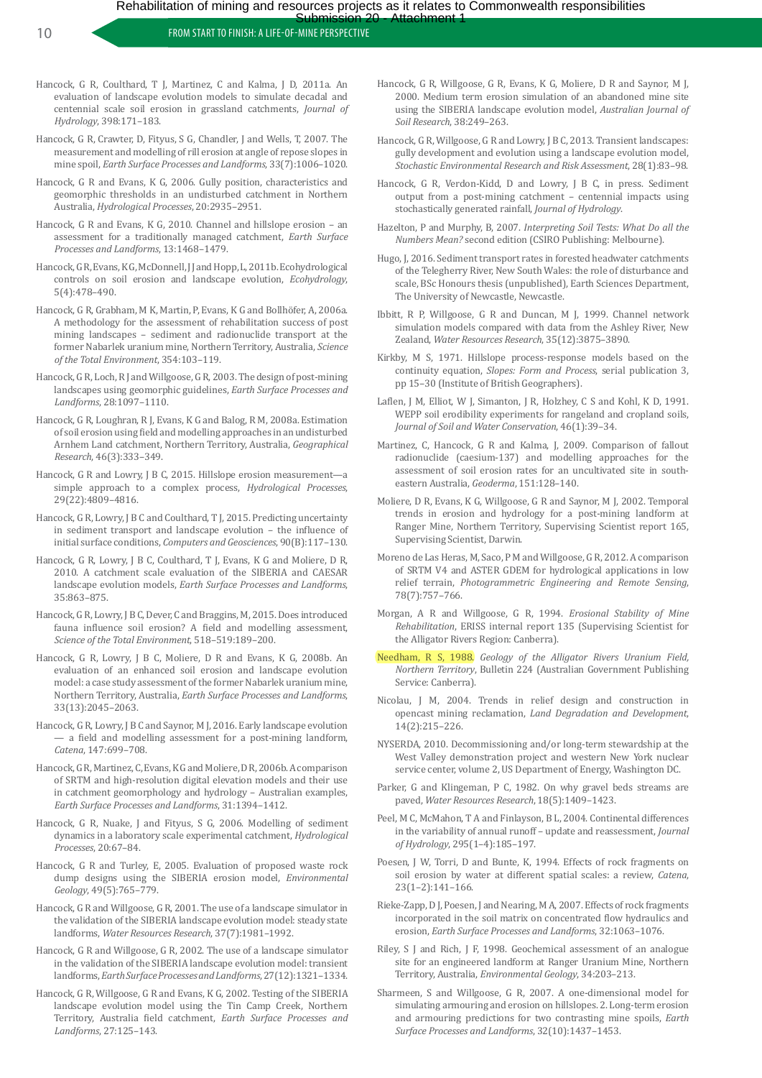10 **FROM START TO FINISH: A LIFE-OF-MINE PERSPECTIVE** SUSTAINABLE MINE REPORTED MINE RETAINE PERSPECTIVE

- Hancock, G R, Coulthard, T J, Martinez, C and Kalma, J D, 2011a. An evaluation of landscape evolution models to simulate decadal and centennial scale soil erosion in grassland catchments, *Journal of Hydrology*, 398:171–183.
- Hancock, G R, Crawter, D, Fityus, S G, Chandler, J and Wells, T, 2007. The measurement and modelling of rill erosion at angle of repose slopes in mine spoil, *Earth Surface Processes and Landforms*, 33(7):1006–1020.
- Hancock, G R and Evans, K G, 2006. Gully position, characteristics and geomorphic thresholds in an undisturbed catchment in Northern Australia, *Hydrological Processes*, 20:2935–2951.
- Hancock, G R and Evans, K G, 2010. Channel and hillslope erosion an assessment for a traditionally managed catchment, *Earth Surface Processes and Landforms*, 13:1468–1479.
- Hancock, G R, Evans, K G, McDonnell, J J and Hopp, L, 2011b. Ecohydrological controls on soil erosion and landscape evolution, *Ecohydrology*, 5(4):478–490.
- Hancock, G R, Grabham, M K, Martin, P, Evans, K G and Bollhöfer, A, 2006a. A methodology for the assessment of rehabilitation success of post mining landscapes – sediment and radionuclide transport at the former Nabarlek uranium mine, Northern Territory, Australia, *Science of the Total Environment*, 354:103–119.
- Hancock, G R, Loch, R J and Willgoose, G R, 2003. The design of post-mining landscapes using geomorphic guidelines, *Earth Surface Processes and Landforms*, 28:1097–1110.
- Hancock, G R, Loughran, R J, Evans, K G and Balog, R M, 2008a. Estimation of soil erosion using field and modelling approaches in an undisturbed Arnhem Land catchment, Northern Territory, Australia, *Geographical Research*, 46(3):333–349.
- Hancock, G R and Lowry, J B C, 2015. Hillslope erosion measurement—a simple approach to a complex process, *Hydrological Processes*, 29(22):4809–4816.
- Hancock, G R, Lowry, J B C and Coulthard, T J, 2015. Predicting uncertainty in sediment transport and landscape evolution – the influence of initial surface conditions, *Computers and Geosciences*, 90(B):117–130.
- Hancock, G R, Lowry, J B C, Coulthard, T J, Evans, K G and Moliere, D R, 2010. A catchment scale evaluation of the SIBERIA and CAESAR landscape evolution models, *Earth Surface Processes and Landforms*, 35:863–875.
- Hancock, G R, Lowry, J B C, Dever, C and Braggins, M, 2015. Does introduced fauna influence soil erosion? A field and modelling assessment, *Science of the Total Environment*, 518–519:189–200.
- Hancock, G R, Lowry, J B C, Moliere, D R and Evans, K G, 2008b. An evaluation of an enhanced soil erosion and landscape evolution model: a case study assessment of the former Nabarlek uranium mine, Northern Territory, Australia, *Earth Surface Processes and Landforms*, 33(13):2045–2063.
- Hancock, G R, Lowry, J B C and Saynor, M J, 2016. Early landscape evolution — a field and modelling assessment for a post-mining landform, *Catena*, 147:699–708.
- Hancock, G R, Martinez, C, Evans, K G and Moliere, D R, 2006b. A comparison of SRTM and high-resolution digital elevation models and their use in catchment geomorphology and hydrology – Australian examples, *Earth Surface Processes and Landforms*, 31:1394–1412.
- Hancock, G R, Nuake, J and Fityus, S G, 2006. Modelling of sediment dynamics in a laboratory scale experimental catchment, *Hydrological Processes*, 20:67–84.
- Hancock, G R and Turley, E, 2005. Evaluation of proposed waste rock dump designs using the SIBERIA erosion model, *Environmental Geology*, 49(5):765–779.
- Hancock, G R and Willgoose, G R, 2001. The use of a landscape simulator in the validation of the SIBERIA landscape evolution model: steady state landforms, *Water Resources Research*, 37(7):1981–1992.
- Hancock, G R and Willgoose, G R, 2002. The use of a landscape simulator in the validation of the SIBERIA landscape evolution model: transient landforms, *Earth Surface Processes and Landforms*, 27(12):1321– 1334.
- Hancock, G R, Willgoose, G R and Evans, K G, 2002. Testing of the SIBERIA landscape evolution model using the Tin Camp Creek, Northern Territory, Australia field catchment, *Earth Surface Processes and Landforms*, 27:125–143.
- Hancock, G R, Willgoose, G R, Evans, K G, Moliere, D R and Saynor, M J, 2000. Medium term erosion simulation of an abandoned mine site using the SIBERIA landscape evolution model, *Australian Journal of Soil Research*, 38:249–263.
- Hancock, G R, Willgoose, G R and Lowry, J B C, 2013. Transient landscapes: gully development and evolution using a landscape evolution model, *Stochastic Environmental Research and Risk Assessment*, 28(1):83–98.
- Hancock, G R, Verdon-Kidd, D and Lowry, J B C, in press. Sediment output from a post-mining catchment – centennial impacts using stochastically generated rainfall, *Journal of Hydrology*.
- Hazelton, P and Murphy, B, 2007. *Interpreting Soil Tests: What Do all the Numbers Mean?* second edition (CSIRO Publishing: Melbourne).
- Hugo, J, 2016. Sediment transport rates in forested headwater catchments of the Telegherry River, New South Wales: the role of disturbance and scale, BSc Honours thesis (unpublished), Earth Sciences Department, The University of Newcastle, Newcastle.
- Ibbitt, R P, Willgoose, G R and Duncan, M J, 1999. Channel network simulation models compared with data from the Ashley River, New Zealand, *Water Resources Research*, 35(12):3875–3890.
- Kirkby, M S, 1971. Hillslope process-response models based on the continuity equation, *Slopes: Form and Process*, serial publication 3, pp 15–30 (Institute of British Geographers).
- Laflen, J M, Elliot, W J, Simanton, J R, Holzhey, C S and Kohl, K D, 1991. WEPP soil erodibility experiments for rangeland and cropland soils, *Journal of Soil and Water Conservation*, 46(1):39–34.
- Martinez, C, Hancock, G R and Kalma, J, 2009. Comparison of fallout radionuclide (caesium-137) and modelling approaches for the assessment of soil erosion rates for an uncultivated site in southeastern Australia, *Geoderma*, 151:128–140.
- Moliere, D R, Evans, K G, Willgoose, G R and Saynor, M J, 2002. Temporal trends in erosion and hydrology for a post-mining landform at Ranger Mine, Northern Territory*,* Supervising Scientist report 165, Supervising Scientist, Darwin.
- Moreno de Las Heras, M, Saco, P M and Willgoose, G R, 2012. A comparison of SRTM V4 and ASTER GDEM for hydrological applications in low relief terrain, *Photogrammetric Engineering and Remote Sensing*, 78(7):757–766.
- Morgan, A R and Willgoose, G R, 1994. *Erosional Stability of Mine Rehabilitation*, ERISS internal report 135 (Supervising Scientist for the Alligator Rivers Region: Canberra).
- Needham, R S, 1988. *Geology of the Alligator Rivers Uranium Field, Northern Territory*, Bulletin 224 (Australian Government Publishing Service: Canberra).
- Nicolau, J M, 2004. Trends in relief design and construction in opencast mining reclamation, *Land Degradation and Development*, 14(2):215– 226.
- NYSERDA, 2010. Decommissioning and/or long-term stewardship at the West Valley demonstration project and western New York nuclear service center, volume 2, US Department of Energy, Washington DC.
- Parker, G and Klingeman, P C, 1982. On why gravel beds streams are paved, *Water Resources Research*, 18(5):1409–1423.
- Peel, M C, McMahon, T A and Finlayson, B L, 2004. Continental differences in the variability of annual runoff – update and reassessment, *Journal of Hydrology*, 295(1–4):185–197.
- Poesen, J W, Torri, D and Bunte, K, 1994. Effects of rock fragments on soil erosion by water at different spatial scales: a review, *Catena*,  $23(1-2):141-166.$
- Rieke-Zapp, D J, Poesen, J and Nearing, M A, 2007. Effects of rock fragments incorporated in the soil matrix on concentrated flow hydraulics and erosion, *Earth Surface Processes and Landforms*, 32:1063–1076.
- Riley, S J and Rich, J F, 1998. Geochemical assessment of an analogue site for an engineered landform at Ranger Uranium Mine, Northern Territory, Australia, *Environmental Geology*, 34:203–213.
- Sharmeen, S and Willgoose, G R, 2007. A one-dimensional model for simulating armouring and erosion on hillslopes. 2. Long-term erosion and armouring predictions for two contrasting mine spoils, *Earth Surface Processes and Landforms*, 32(10):1437–1453.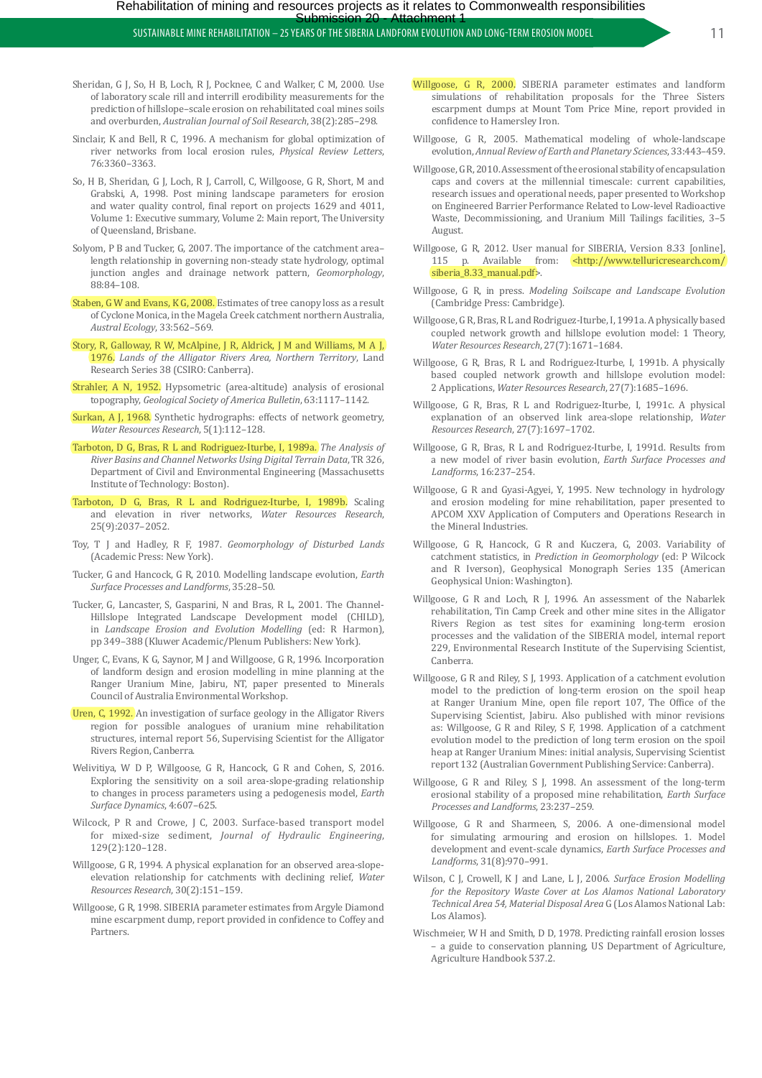- Sheridan, G J, So, H B, Loch, R J, Pocknee, C and Walker, C M, 2000. Use of laboratory scale rill and interrill erodibility measurements for the prediction of hillslope–scale erosion on rehabilitated coal mines soils and overburden, *Australian Journal of Soil Research*, 38(2):285–298.
- Sinclair, K and Bell, R C, 1996. A mechanism for global optimization of river networks from local erosion rules, *Physical Review Letters*, 76:3360–3363.
- So, H B, Sheridan, G J, Loch, R J, Carroll, C, Willgoose, G R, Short, M and Grabski, A, 1998. Post mining landscape parameters for erosion and water quality control, final report on projects 1629 and 4011, Volume 1: Executive summary, Volume 2: Main report, The University of Queensland, Brisbane.
- Solyom, P B and Tucker, G, 2007. The importance of the catchment area– length relationship in governing non-steady state hydrology, optimal junction angles and drainage network pattern, *Geomorphology*, 88:84–108.
- Staben, G W and Evans, K G, 2008. Estimates of tree canopy loss as a result of Cyclone Monica, in the Magela Creek catchment northern Australia, *Austral Ecology*, 33:562–569.
- Story, R, Galloway, R W, McAlpine, J R, Aldrick, J M and Williams, M A J, 1976. *Lands of the Alligator Rivers Area, Northern Territory*, Land Research Series 38 (CSIRO: Canberra).
- Strahler, A N, 1952. Hypsometric (area-altitude) analysis of erosional topography, *Geological Society of America Bulletin*, 63:1117–1142.
- Surkan, A J, 1968. Synthetic hydrographs: effects of network geometry, *Water Resources Research*, 5(1):112–128.
- Tarboton, D G, Bras, R L and Rodriguez-Iturbe, I, 1989a. *The Analysis of River Basins and Channel Networks Using Digital Terrain Data*, TR 326, Department of Civil and Environmental Engineering (Massachusetts Institute of Technology: Boston).
- Tarboton, D G, Bras, R L and Rodriguez-Iturbe, I, 1989b. Scaling and elevation in river networks, *Water Resources Research*, 25(9):2037– 2052.
- Toy, T J and Hadley, R F, 1987. *Geomorphology of Disturbed Lands* (Academic Press: New York).
- Tucker, G and Hancock, G R, 2010. Modelling landscape evolution, *Earth Surface Processes and Landforms*, 35:28–50.
- Tucker, G, Lancaster, S, Gasparini, N and Bras, R L, 2001. The Channel-Hillslope Integrated Landscape Development model (CHILD), in *Landscape Erosion and Evolution Modelling* (ed: R Harmon), pp 349– 388 (Kluwer Academic/Plenum Publishers: New York).
- Unger, C, Evans, K G, Saynor, M J and Willgoose, G R, 1996. Incorporation of landform design and erosion modelling in mine planning at the Ranger Uranium Mine, Jabiru, NT, paper presented to Minerals Council of Australia Environmental Workshop.
- Uren, C, 1992. An investigation of surface geology in the Alligator Rivers region for possible analogues of uranium mine rehabilitation structures, internal report 56, Supervising Scientist for the Alligator Rivers Region, Canberra.
- Welivitiya, W D P, Willgoose, G R, Hancock, G R and Cohen, S, 2016. Exploring the sensitivity on a soil area-slope-grading relationship to changes in process parameters using a pedogenesis model, *Earth Surface Dynamics*, 4:607–625.
- Wilcock, P R and Crowe, J C, 2003. Surface-based transport model for mixed-size sediment, *Journal of Hydraulic Engineering*, 129(2):120–128.
- Willgoose, G R, 1994. A physical explanation for an observed area-slopeelevation relationship for catchments with declining relief, *Water Resources Research*, 30(2):151–159.
- Willgoose, G R, 1998. SIBERIA parameter estimates from Argyle Diamond mine escarpment dump, report provided in confidence to Coffey and Partners.
- Willgoose, G R, 2000. SIBERIA parameter estimates and landform simulations of rehabilitation proposals for the Three Sisters escarpment dumps at Mount Tom Price Mine, report provided in confidence to Hamersley Iron.
- Willgoose, G R, 2005. Mathematical modeling of whole-landscape evolution, *Annual Review of Earth and Planetary Sciences*, 33:443–459.
- Willgoose, G R, 2010. Assessment of the erosional stability of encapsulation caps and covers at the millennial timescale: current capabilities, research issues and operational needs, paper presented to Workshop on Engineered Barrier Performance Related to Low-level Radioactive Waste, Decommissioning, and Uranium Mill Tailings facilities, 3–5 August.
- Willgoose, G R, 2012. User manual for SIBERIA, Version 8.33 [online], 115 p. Available from: <http://www.telluricresearch.com/ siberia\_8.33\_manual.pdf>.
- Willgoose, G R, in press. *Modeling Soilscape and Landscape Evolution* (Cambridge Press: Cambridge).
- Willgoose, G R, Bras, R L and Rodriguez-Iturbe, I, 1991a. A physically based coupled network growth and hillslope evolution model: 1 Theory, *Water Resources Research*, 27(7):1671–1684.
- Willgoose, G R, Bras, R L and Rodriguez-Iturbe, I, 1991b. A physically based coupled network growth and hillslope evolution model: 2 Applications, *Water Resources Research*, 27(7):1685–1696.
- Willgoose, G R, Bras, R L and Rodriguez-Iturbe, I, 1991c. A physical explanation of an observed link area-slope relationship, *Water Resources Research*, 27(7):1697–1702.
- Willgoose, G R, Bras, R L and Rodriguez-Iturbe, I, 1991d. Results from a new model of river basin evolution, *Earth Surface Processes and Landforms*, 16:237–254.
- Willgoose, G R and Gyasi-Agyei, Y, 1995. New technology in hydrology and erosion modeling for mine rehabilitation, paper presented to APCOM XXV Application of Computers and Operations Research in the Mineral Industries.
- Willgoose, G R, Hancock, G R and Kuczera, G, 2003. Variability of catchment statistics, in *Prediction in Geomorphology* (ed: P Wilcock and R Iverson), Geophysical Monograph Series 135 (American Geophysical Union: Washington).
- Willgoose, G R and Loch, R J, 1996. An assessment of the Nabarlek rehabilitation, Tin Camp Creek and other mine sites in the Alligator Rivers Region as test sites for examining long-term erosion processes and the validation of the SIBERIA model, internal report 229, Environmental Research Institute of the Supervising Scientist, Canberra.
- Willgoose, G R and Riley, S J, 1993. Application of a catchment evolution model to the prediction of long-term erosion on the spoil heap at Ranger Uranium Mine, open file report 107, The Office of the Supervising Scientist, Jabiru. Also published with minor revisions as: Willgoose, G R and Riley, S F, 1998. Application of a catchment evolution model to the prediction of long term erosion on the spoil heap at Ranger Uranium Mines: initial analysis, Supervising Scientist report 132 (Australian Government Publishing Service: Canberra).
- Willgoose, G R and Riley, S J, 1998. An assessment of the long-term erosional stability of a proposed mine rehabilitation, *Earth Surface Processes and Landforms*, 23:237–259.
- Willgoose, G R and Sharmeen, S, 2006. A one-dimensional model for simulating armouring and erosion on hillslopes. 1. Model development and event-scale dynamics, *Earth Surface Processes and Landforms*, 31(8):970–991.
- Wilson, C J, Crowell, K J and Lane, L J, 2006. *Surface Erosion Modelling for the Repository Waste Cover at Los Alamos National Laboratory Technical Area 54, Material Disposal Area* G (Los Alamos National Lab: Los Alamos).
- Wischmeier, W H and Smith, D D, 1978. Predicting rainfall erosion losses – a guide to conservation planning, US Department of Agriculture, Agriculture Handbook 537.2.